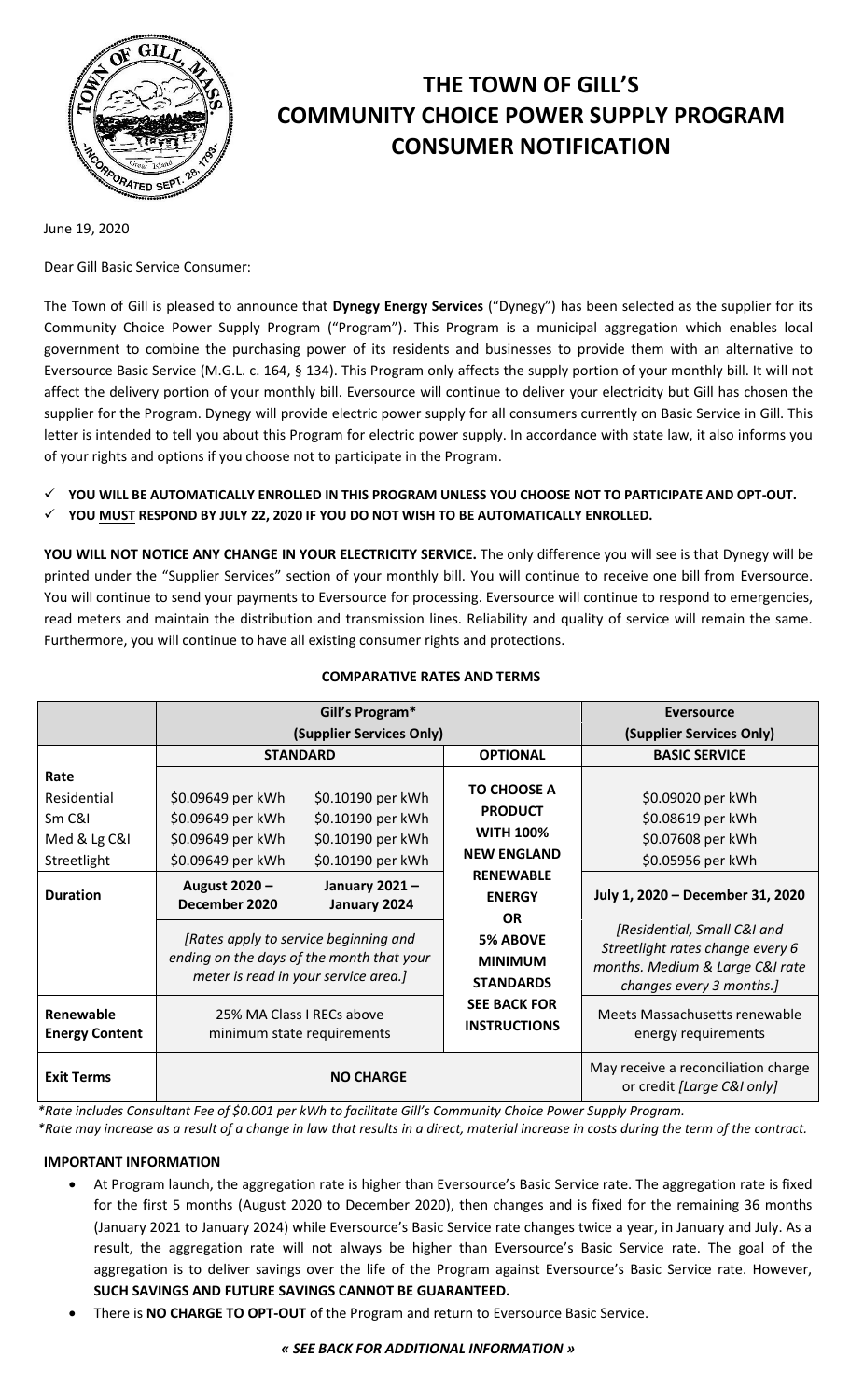

# **THE TOWN OF GILL'S COMMUNITY CHOICE POWER SUPPLY PROGRAM CONSUMER NOTIFICATION**

June 19, 2020

Dear Gill Basic Service Consumer:

The Town of Gill is pleased to announce that **Dynegy Energy Services** ("Dynegy") has been selected as the supplier for its Community Choice Power Supply Program ("Program"). This Program is a municipal aggregation which enables local government to combine the purchasing power of its residents and businesses to provide them with an alternative to Eversource Basic Service (M.G.L. c. 164, § 134). This Program only affects the supply portion of your monthly bill. It will not affect the delivery portion of your monthly bill. Eversource will continue to deliver your electricity but Gill has chosen the supplier for the Program. Dynegy will provide electric power supply for all consumers currently on Basic Service in Gill. This letter is intended to tell you about this Program for electric power supply. In accordance with state law, it also informs you of your rights and options if you choose not to participate in the Program.

- **YOU WILL BE AUTOMATICALLY ENROLLED IN THIS PROGRAM UNLESS YOU CHOOSE NOT TO PARTICIPATE AND OPT-OUT.**
- **YOU MUST RESPOND BY JULY 22, 2020 IF YOU DO NOT WISH TO BE AUTOMATICALLY ENROLLED.**

**YOU WILL NOT NOTICE ANY CHANGE IN YOUR ELECTRICITY SERVICE.** The only difference you will see is that Dynegy will be printed under the "Supplier Services" section of your monthly bill. You will continue to receive one bill from Eversource. You will continue to send your payments to Eversource for processing. Eversource will continue to respond to emergencies, read meters and maintain the distribution and transmission lines. Reliability and quality of service will remain the same. Furthermore, you will continue to have all existing consumer rights and protections.

|                                                              | Gill's Program*                                                                                                      |                                                                                  |                                                                                                                                                     | <b>Eversource</b>                                                                                   |
|--------------------------------------------------------------|----------------------------------------------------------------------------------------------------------------------|----------------------------------------------------------------------------------|-----------------------------------------------------------------------------------------------------------------------------------------------------|-----------------------------------------------------------------------------------------------------|
|                                                              | (Supplier Services Only)                                                                                             |                                                                                  |                                                                                                                                                     | (Supplier Services Only)                                                                            |
|                                                              | <b>STANDARD</b>                                                                                                      |                                                                                  | <b>OPTIONAL</b>                                                                                                                                     | <b>BASIC SERVICE</b>                                                                                |
| Rate<br>Residential<br>Sm C&I<br>Med & Lg C&I<br>Streetlight | \$0.09649 per kWh<br>\$0.09649 per kWh<br>\$0.09649 per kWh<br>\$0.09649 per kWh                                     | \$0.10190 per kWh<br>\$0.10190 per kWh<br>\$0.10190 per kWh<br>\$0.10190 per kWh | <b>TO CHOOSE A</b><br><b>PRODUCT</b><br><b>WITH 100%</b><br><b>NEW ENGLAND</b><br><b>RENEWABLE</b><br><b>ENERGY</b><br><b>OR</b><br><b>5% ABOVE</b> | \$0.09020 per kWh<br>\$0.08619 per kWh<br>\$0.07608 per kWh<br>\$0.05956 per kWh                    |
| <b>Duration</b>                                              | August 2020 -<br>December 2020<br>[Rates apply to service beginning and<br>ending on the days of the month that your | January 2021-<br>January 2024                                                    |                                                                                                                                                     | July 1, 2020 - December 31, 2020<br>[Residential, Small C&I and<br>Streetlight rates change every 6 |
|                                                              | meter is read in your service area.]                                                                                 |                                                                                  | <b>MINIMUM</b><br><b>STANDARDS</b>                                                                                                                  | months. Medium & Large C&I rate<br>changes every 3 months.]                                         |
| Renewable<br><b>Energy Content</b>                           | 25% MA Class I RECs above<br>minimum state requirements                                                              |                                                                                  | <b>SEE BACK FOR</b><br><b>INSTRUCTIONS</b>                                                                                                          | Meets Massachusetts renewable<br>energy requirements                                                |
| <b>Exit Terms</b>                                            | <b>NO CHARGE</b>                                                                                                     |                                                                                  |                                                                                                                                                     | May receive a reconciliation charge<br>or credit [Large C&I only]                                   |

## **COMPARATIVE RATES AND TERMS**

*\*Rate includes Consultant Fee of \$0.001 per kWh to facilitate Gill's Community Choice Power Supply Program.*

*\*Rate may increase as a result of a change in law that results in a direct, material increase in costs during the term of the contract.*

## **IMPORTANT INFORMATION**

- At Program launch, the aggregation rate is higher than Eversource's Basic Service rate. The aggregation rate is fixed for the first 5 months (August 2020 to December 2020), then changes and is fixed for the remaining 36 months (January 2021 to January 2024) while Eversource's Basic Service rate changes twice a year, in January and July. As a result, the aggregation rate will not always be higher than Eversource's Basic Service rate. The goal of the aggregation is to deliver savings over the life of the Program against Eversource's Basic Service rate. However, **SUCH SAVINGS AND FUTURE SAVINGS CANNOT BE GUARANTEED.**
- There is **NO CHARGE TO OPT-OUT** of the Program and return to Eversource Basic Service.